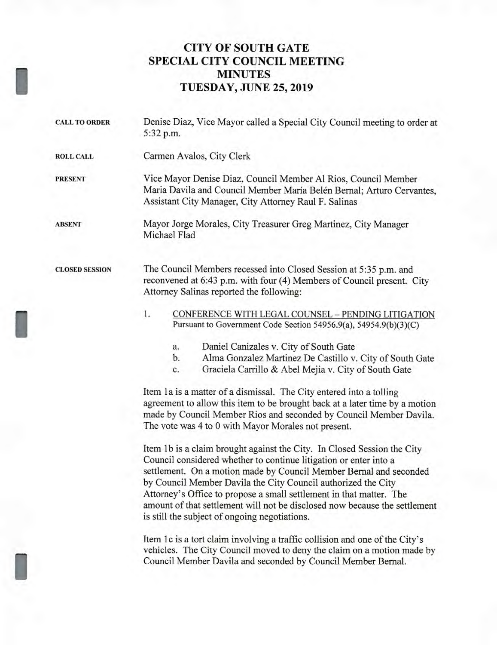## **CITY OF SOUTH GATE SPECIAL CITY COUNCIL MEETING MINUTES TUESDAY, JUNE 25, 2019**

I

I

| <b>CALL TO ORDER</b>  | Denise Diaz, Vice Mayor called a Special City Council meeting to order at<br>5:32 p.m.                                                                                                                                                                                          |
|-----------------------|---------------------------------------------------------------------------------------------------------------------------------------------------------------------------------------------------------------------------------------------------------------------------------|
| <b>ROLL CALL</b>      | Carmen Avalos, City Clerk                                                                                                                                                                                                                                                       |
| <b>PRESENT</b>        | Vice Mayor Denise Diaz, Council Member Al Rios, Council Member<br>Maria Davila and Council Member María Belén Bernal; Arturo Cervantes,<br>Assistant City Manager, City Attorney Raul F. Salinas                                                                                |
| <b>ABSENT</b>         | Mayor Jorge Morales, City Treasurer Greg Martinez, City Manager<br>Michael Flad                                                                                                                                                                                                 |
| <b>CLOSED SESSION</b> | The Council Members recessed into Closed Session at 5:35 p.m. and<br>reconvened at 6:43 p.m. with four (4) Members of Council present. City<br>Attorney Salinas reported the following:                                                                                         |
|                       | 1.<br>CONFERENCE WITH LEGAL COUNSEL - PENDING LITIGATION                                                                                                                                                                                                                        |
|                       | Pursuant to Government Code Section 54956.9(a), 54954.9(b)(3)(C)                                                                                                                                                                                                                |
|                       | Daniel Canizales v. City of South Gate<br>a.                                                                                                                                                                                                                                    |
|                       | Alma Gonzalez Martinez De Castillo v. City of South Gate<br>b.                                                                                                                                                                                                                  |
|                       | Graciela Carrillo & Abel Mejia v. City of South Gate<br>c.                                                                                                                                                                                                                      |
|                       | Item 1a is a matter of a dismissal. The City entered into a tolling<br>agreement to allow this item to be brought back at a later time by a motion<br>made by Council Member Rios and seconded by Council Member Davila.<br>The vote was 4 to 0 with Mayor Morales not present. |
|                       | $\mathbf{r}_i$ and $\mathbf{r}_i$ and $\mathbf{r}_i$ and $\mathbf{r}_i$ and $\mathbf{r}_i$ and $\mathbf{r}_i$ and $\mathbf{r}_i$ and $\mathbf{r}_i$                                                                                                                             |

Item 1b is a claim brought against the City. In Closed Session the City Council considered whether to continue litigation or enter into a settlement. On a motion made by Council Member Bernal and seconded by Council Member Davila the City Council authorized the City Attorney's Office to propose a small settlement in that matter. The amount of that settlement will not be disclosed now because the settlement is still the subject of ongoing negotiations.

Item 1c is a tort claim involving a traffic collision and one of the City's vehicles. The City Council moved to deny the claim on a motion made by Council Member Davila and seconded by Council Member Bernal.